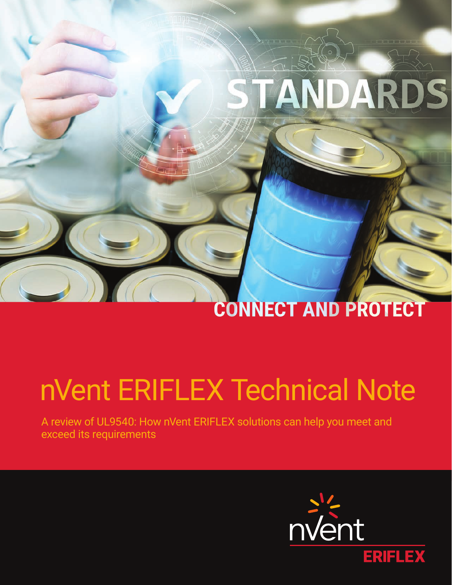# STANDARDS

# **CONNECT AND PROTECT**

# nVent ERIFLEX Technical Note

A review of UL9540: How nVent ERIFLEX solutions can help you meet and exceed its requirements

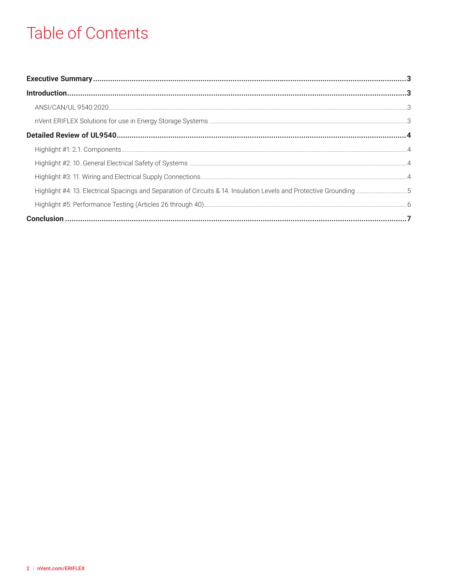# **Table of Contents**

| Highlight #4: 13. Electrical Spacings and Separation of Circuits & 14. Insulation Levels and Protective Grounding 5 |  |
|---------------------------------------------------------------------------------------------------------------------|--|
|                                                                                                                     |  |
|                                                                                                                     |  |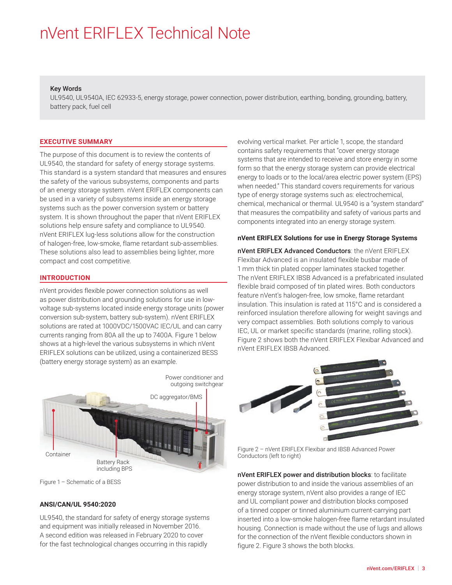#### <span id="page-2-0"></span>Key Words

UL9540, UL9540A, IEC 62933-5, energy storage, power connection, power distribution, earthing, bonding, grounding, battery, battery pack, fuel cell

#### **EXECUTIVE SUMMARY**

The purpose of this document is to review the contents of UL9540, the standard for safety of energy storage systems. This standard is a system standard that measures and ensures the safety of the various subsystems, components and parts of an energy storage system. nVent ERIFLEX components can be used in a variety of subsystems inside an energy storage systems such as the power conversion system or battery system. It is shown throughout the paper that nVent ERIFLEX solutions help ensure safety and compliance to UL9540. nVent ERIFLEX lug-less solutions allow for the construction of halogen-free, low-smoke, flame retardant sub-assemblies. These solutions also lead to assemblies being lighter, more compact and cost competitive.

#### **INTRODUCTION**

nVent provides flexible power connection solutions as well as power distribution and grounding solutions for use in lowvoltage sub-systems located inside energy storage units (power conversion sub-system, battery sub-system). nVent ERIFLEX solutions are rated at 1000VDC/1500VAC IEC/UL and can carry currents ranging from 80A all the up to 7400A. Figure 1 below shows at a high-level the various subsystems in which nVent ERIFLEX solutions can be utilized, using a containerized BESS (battery energy storage system) as an example.



Figure 1 – Schematic of a BESS

#### **ANSI/CAN/UL 9540:2020**

UL9540, the standard for safety of energy storage systems and equipment was initially released in November 2016. A second edition was released in February 2020 to cover for the fast technological changes occurring in this rapidly

evolving vertical market. Per article 1, scope, the standard contains safety requirements that "cover energy storage systems that are intended to receive and store energy in some form so that the energy storage system can provide electrical energy to loads or to the local/area electric power system (EPS) when needed." This standard covers requirements for various type of energy storage systems such as: electrochemical, chemical, mechanical or thermal. UL9540 is a "system standard" that measures the compatibility and safety of various parts and components integrated into an energy storage system.

#### **nVent ERIFLEX Solutions for use in Energy Storage Systems**

nVent ERIFLEX Advanced Conductors: the nVent ERIFLEX Flexibar Advanced is an insulated flexible busbar made of 1 mm thick tin plated copper laminates stacked together. The nVent ERIFLEX IBSB Advanced is a prefabricated insulated flexible braid composed of tin plated wires. Both conductors feature nVent's halogen-free, low smoke, flame retardant insulation. This insulation is rated at 115°C and is considered a reinforced insulation therefore allowing for weight savings and very compact assemblies. Both solutions comply to various IEC, UL or market specific standards (marine, rolling stock). Figure 2 shows both the nVent ERIFLEX Flexibar Advanced and nVent ERIFLEX IBSB Advanced.



Figure 2 – nVent ERIFLEX Flexibar and IBSB Advanced Power Conductors (left to right)

nVent ERIFLEX power and distribution blocks: to facilitate power distribution to and inside the various assemblies of an energy storage system, nVent also provides a range of IEC and UL compliant power and distribution blocks composed of a tinned copper or tinned aluminium current-carrying part inserted into a low-smoke halogen-free flame retardant insulated housing. Connection is made without the use of lugs and allows for the connection of the nVent flexible conductors shown in figure 2. Figure 3 shows the both blocks.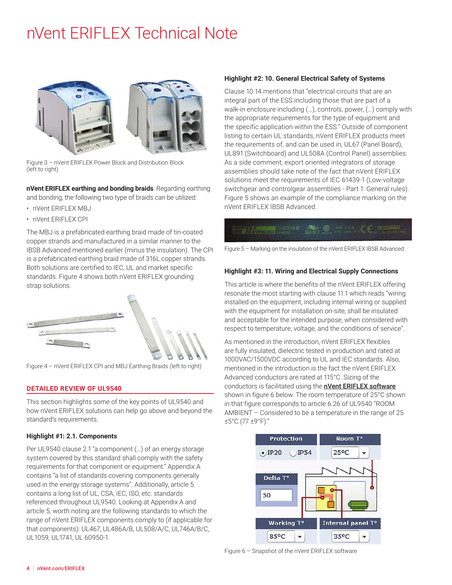<span id="page-3-0"></span>

Figure 3 – nVent ERIFLEX Power Block and Distribution Block (left to right)

**nVent ERIFLEX earthing and bonding braids**: Regarding earthing and bonding, the following two type of braids can be utilized:

- nVent ERIFLEX MBJ
- nVent ERIFLEX CPI

The MBJ is a prefabricated earthing braid made of tin-coated copper strands and manufactured in a similar manner to the IBSB Advanced mentioned earlier (minus the insulation). The CPI is a prefabricated earthing braid made of 316L copper strands. Both solutions are certified to IEC, UL and market specific standards. Figure 4 shows both nVent ERIFLEX grounding strap solutions.



Figure 4 – nVent ERIFLEX CPI and MBJ Earthing Braids (left to right)

#### **DETAILED REVIEW OF UL9540**

This section highlights some of the key points of UL9540 and how nVent ERIFLEX solutions can help go above and beyond the standard's requirements.

#### **Highlight #1: 2.1. Components**

Per UL9540 clause 2.1 "a component (…) of an energy storage system covered by this standard shall comply with the safety requirements for that component or equipment." Appendix A contains "a list of standards covering components generally used in the energy storage systems". Additionally, article 5 contains a long list of UL, CSA, IEC, ISO, etc. standards referenced throughout UL9540. Looking at Appendix A and article 5, worth noting are the following standards to which the range of nVent ERIFLEX components comply to (if applicable for that components): UL467, UL486A/B, UL508/A/C, UL746A/B/C, UL1059, UL1741, UL 60950-1.

#### **Highlight #2: 10. General Electrical Safety of Systems**

Clause 10.14 mentions that "electrical circuits that are an integral part of the ESS including those that are part of a walk-in enclosure including (…), controls, power, (…) comply with the appropriate requirements for the type of equipment and the specific application within the ESS." Outside of component listing to certain UL standards, nVent ERIFLEX products meet the requirements of, and can be used in, UL67 (Panel Board), UL891 (Switchboard) and UL508A (Control Panel) assemblies. As a side comment, export oriented integrators of storage assemblies should take note of the fact that nVent ERIFLEX solutions meet the requirements of IEC 61439-1 (Low-voltage switchgear and controlgear assemblies - Part 1: General rules). Figure 5 shows an example of the compliance marking on the nVent ERIFLEX IBSB Advanced.

### **CONTRACTOR** 25-030-8-10 AM C RELEASE RELEASE CONTRACTOR

Figure 5 – Marking on the insulation of the nVent ERIFLEX IBSB Advanced

#### **Highlight #3: 11. Wiring and Electrical Supply Connections**

This article is where the benefits of the nVent ERIFLEX offering resonate the most starting with clause 11.1 which reads "wiring installed on the equipment, including internal wiring or supplied with the equipment for installation on-site, shall be insulated and acceptable for the intended purpose, when considered with respect to temperature, voltage, and the conditions of service".

As mentioned in the introduction, nVent ERIFLEX flexibles are fully insulated, dielectric tested in production and rated at 1000VAC/1500VDC according to UL and IEC standards. Also, mentioned in the introduction is the fact the nVent ERIFLEX Advanced conductors are rated at 115°C. Sizing of the conductors is facilitated using the **[nVent ERIFLEX software](https://eriflex-configurator.nvent.com/eriflex/)** shown in figure 6 below. The room temperature of 25°C shown in that figure corresponds to article 6.26 of UL9540 "ROOM AMBIENT – Considered to be a temperature in the range of 25 ±5°C (77 ±9°F)."



Figure 6 – Snapshot of the nVent ERIFLEX software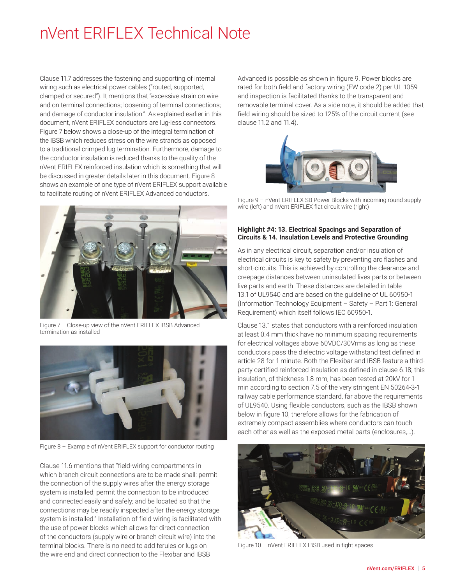<span id="page-4-0"></span>Clause 11.7 addresses the fastening and supporting of internal wiring such as electrical power cables ("routed, supported, clamped or secured"). It mentions that "excessive strain on wire and on terminal connections; loosening of terminal connections; and damage of conductor insulation.". As explained earlier in this document, nVent ERIFLEX conductors are lug-less connectors. Figure 7 below shows a close-up of the integral termination of the IBSB which reduces stress on the wire strands as opposed to a traditional crimped lug termination. Furthermore, damage to the conductor insulation is reduced thanks to the quality of the nVent ERIFLEX reinforced insulation which is something that will be discussed in greater details later in this document. Figure 8 shows an example of one type of nVent ERIFLEX support available to facilitate routing of nVent ERIFLEX Advanced conductors.



Figure 7 – Close-up view of the nVent ERIFLEX IBSB Advanced termination as installed



Figure 8 – Example of nVent ERIFLEX support for conductor routing

Clause 11.6 mentions that "field-wiring compartments in which branch circuit connections are to be made shall: permit the connection of the supply wires after the energy storage system is installed; permit the connection to be introduced and connected easily and safely; and be located so that the connections may be readily inspected after the energy storage system is installed." Installation of field wiring is facilitated with the use of power blocks which allows for direct connection of the conductors (supply wire or branch circuit wire) into the terminal blocks. There is no need to add ferules or lugs on the wire end and direct connection to the Flexibar and IBSB

Advanced is possible as shown in figure 9. Power blocks are rated for both field and factory wiring (FW code 2) per UL 1059 and inspection is facilitated thanks to the transparent and removable terminal cover. As a side note, it should be added that field wiring should be sized to 125% of the circuit current (see clause 11.2 and 11.4).



Figure 9 – nVent ERIFLEX SB Power Blocks with incoming round supply wire (left) and nVent ERIFLEX flat circuit wire (right)

#### **Highlight #4: 13. Electrical Spacings and Separation of Circuits & 14. Insulation Levels and Protective Grounding**

As in any electrical circuit, separation and/or insulation of electrical circuits is key to safety by preventing arc flashes and short-circuits. This is achieved by controlling the clearance and creepage distances between uninsulated lives parts or between live parts and earth. These distances are detailed in table 13.1 of UL9540 and are based on the guideline of UL 60950-1 (Information Technology Equipment – Safety – Part 1: General Requirement) which itself follows IEC 60950-1.

Clause 13.1 states that conductors with a reinforced insulation at least 0.4 mm thick have no minimum spacing requirements for electrical voltages above 60VDC/30Vrms as long as these conductors pass the dielectric voltage withstand test defined in article 28 for 1 minute. Both the Flexibar and IBSB feature a thirdparty certified reinforced insulation as defined in clause 6.18; this insulation, of thickness 1.8 mm, has been tested at 20kV for 1 min according to section 7.5 of the very stringent EN 50264-3-1 railway cable performance standard, far above the requirements of UL9540. Using flexible conductors, such as the IBSB shown below in figure 10, therefore allows for the fabrication of extremely compact assemblies where conductors can touch each other as well as the exposed metal parts (enclosures,…).



Figure 10 – nVent ERIFLEX IBSB used in tight spaces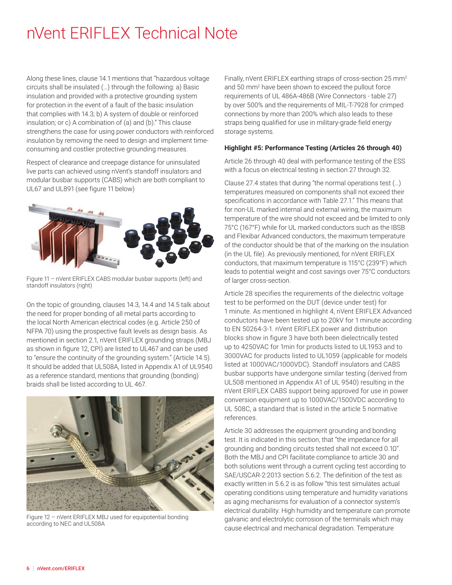<span id="page-5-0"></span>Along these lines, clause 14.1 mentions that "hazardous voltage circuits shall be insulated (…) through the following: a) Basic insulation and provided with a protective grounding system for protection in the event of a fault of the basic insulation that complies with 14.3; b) A system of double or reinforced insulation; or c) A combination of (a) and (b)." This clause strengthens the case for using power conductors with reinforced insulation by removing the need to design and implement timeconsuming and costlier protective grounding measures.

Respect of clearance and creepage distance for uninsulated live parts can achieved using nVent's standoff insulators and modular busbar supports (CABS) which are both compliant to UL67 and UL891 (see figure 11 below)



Figure 11 – nVent ERIFLEX CABS modular busbar supports (left) and standoff insulators (right)

On the topic of grounding, clauses 14.3, 14.4 and 14.5 talk about the need for proper bonding of all metal parts according to the local North American electrical codes (e.g. Article 250 of NFPA 70) using the prospective fault levels as design basis. As mentioned in section 2.1, nVent ERIFLEX grounding straps (MBJ as shown in figure 12, CPI) are listed to UL467 and can be used to "ensure the continuity of the grounding system." (Article 14.5). It should be added that UL508A, listed in Appendix A1 of UL9540 as a reference standard, mentions that grounding (bonding) braids shall be listed according to UL 467.



Figure 12 – nVent ERIFLEX MBJ used for equipotential bonding according to NEC and UL508A

Finally, nVent ERIFLEX earthing straps of cross-section 25 mm<sup>2</sup> and 50 mm2 have been shown to exceed the pullout force requirements of UL 486A-486B (Wire Connectors - table 27) by over 500% and the requirements of MIL-T-7928 for crimped connections by more than 200% which also leads to these straps being qualified for use in military-grade field energy storage systems.

#### **Highlight #5: Performance Testing (Articles 26 through 40)**

Article 26 through 40 deal with performance testing of the ESS with a focus on electrical testing in section 27 through 32.

Clause 27.4 states that during "the normal operations test (…) temperatures measured on components shall not exceed their specifications in accordance with Table 27.1." This means that for non-UL marked internal and external wiring, the maximum temperature of the wire should not exceed and be limited to only 75°C (167°F) while for UL marked conductors such as the IBSB and Flexibar Advanced conductors, the maximum temperature of the conductor should be that of the marking on the insulation (in the UL file). As previously mentioned, for nVent ERIFLEX conductors, that maximum temperature is 115°C (239°F) which leads to potential weight and cost savings over 75°C conductors of larger cross-section.

Article 28 specifies the requirements of the dielectric voltage test to be performed on the DUT (device under test) for 1 minute. As mentioned in highlight 4, nVent ERIFLEX Advanced conductors have been tested up to 20kV for 1 minute according to EN 50264-3-1. nVent ERIFLEX power and distribution blocks show in figure 3 have both been dielectrically tested up to 4250VAC for 1min for products listed to UL1953 and to 3000VAC for products listed to UL1059 (applicable for models listed at 1000VAC/1000VDC). Standoff insulators and CABS busbar supports have undergone similar testing (derived from UL508 mentioned in Appendix A1 of UL 9540) resulting in the nVent ERIFLEX CABS support being approved for use in power conversion equipment up to 1000VAC/1500VDC according to UL 508C, a standard that is listed in the article 5 normative references.

Article 30 addresses the equipment grounding and bonding test. It is indicated in this section, that "the impedance for all grounding and bonding circuits tested shall not exceed 0.1Ω". Both the MBJ and CPI facilitate compliance to article 30 and both solutions went through a current cycling test according to SAE/USCAR-2:2013 section 5.6.2. The definition of the test as exactly written in 5.6.2 is as follow "this test simulates actual operating conditions using temperature and humidity variations as aging mechanisms for evaluation of a connector system's electrical durability. High humidity and temperature can promote galvanic and electrolytic corrosion of the terminals which may cause electrical and mechanical degradation. Temperature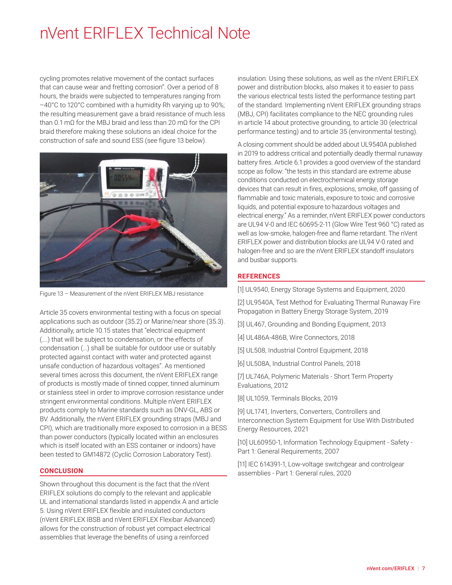<span id="page-6-0"></span>cycling promotes relative movement of the contact surfaces that can cause wear and fretting corrosion". Over a period of 8 hours, the braids were subjected to temperatures ranging from –40°C to 120°C combined with a humidity Rh varying up to 90%; the resulting measurement gave a braid resistance of much less than 0.1 mΩ for the MBJ braid and less than 20 mΩ for the CPI braid therefore making these solutions an ideal choice for the construction of safe and sound ESS (see figure 13 below).



Figure 13 – Measurement of the nVent ERIFLEX MBJ resistance

Article 35 covers environmental testing with a focus on special applications such as outdoor (35.2) or Marine/near shore (35.3). Additionally, article 10.15 states that "electrical equipment (….) that will be subject to condensation, or the effects of condensation (…) shall be suitable for outdoor use or suitably protected against contact with water and protected against unsafe conduction of hazardous voltages". As mentioned several times across this document, the nVent ERIFLEX range of products is mostly made of tinned copper, tinned aluminum or stainless steel in order to improve corrosion resistance under stringent environmental conditions. Multiple nVent ERIFLEX products comply to Marine standards such as DNV-GL, ABS or BV. Additionally, the nVent ERIFLEX grounding straps (MBJ and CPI), which are traditionally more exposed to corrosion in a BESS than power conductors (typically located within an enclosures which is itself located with an ESS container or indoors) have been tested to GM14872 (Cyclic Corrosion Laboratory Test).

#### **CONCLUSION**

Shown throughout this document is the fact that the nVent ERIFLEX solutions do comply to the relevant and applicable UL and international standards listed in appendix A and article 5. Using nVent ERIFLEX flexible and insulated conductors (nVent ERIFLEX IBSB and nVent ERIFLEX Flexibar Advanced) allows for the construction of robust yet compact electrical assemblies that leverage the benefits of using a reinforced

insulation. Using these solutions, as well as the nVent ERIFLEX power and distribution blocks, also makes it to easier to pass the various electrical tests listed the performance testing part of the standard. Implementing nVent ERIFLEX grounding straps (MBJ, CPI) facilitates compliance to the NEC grounding rules in article 14 about protective grounding, to article 30 (electrical performance testing) and to article 35 (environmental testing).

A closing comment should be added about UL9540A published in 2019 to address critical and potentially deadly thermal runaway battery fires. Article 6.1 provides a good overview of the standard scope as follow: "the tests in this standard are extreme abuse conditions conducted on electrochemical energy storage devices that can result in fires, explosions, smoke, off gassing of flammable and toxic materials, exposure to toxic and corrosive liquids, and potential exposure to hazardous voltages and electrical energy." As a reminder, nVent ERIFLEX power conductors are UL94 V-0 and IEC 60695-2-11 (Glow Wire Test 960 °C) rated as well as low-smoke, halogen-free and flame retardant. The nVent ERIFLEX power and distribution blocks are UL94 V-0 rated and halogen-free and so are the nVent ERIFLEX standoff insulators and busbar supports.

#### **REFERENCES**

[1] UL9540, Energy Storage Systems and Equipment, 2020

[2] UL9540A, Test Method for Evaluating Thermal Runaway Fire Propagation in Battery Energy Storage System, 2019

- [3] UL467, Grounding and Bonding Equipment, 2013
- [4] UL486A-486B, Wire Connectors, 2018
- [5] UL508, Industrial Control Equipment, 2018
- [6] UL508A, Industrial Control Panels, 2018

[7] UL746A, Polymeric Materials - Short Term Property Evaluations, 2012

[8] UL1059, Terminals Blocks, 2019

[9] UL1741, Inverters, Converters, Controllers and Interconnection System Equipment for Use With Distributed Energy Resources, 2021

[10] UL60950-1, Information Technology Equipment - Safety - Part 1: General Requirements, 2007

[11] IEC 614391-1, Low-voltage switchgear and controlgear assemblies - Part 1: General rules, 2020